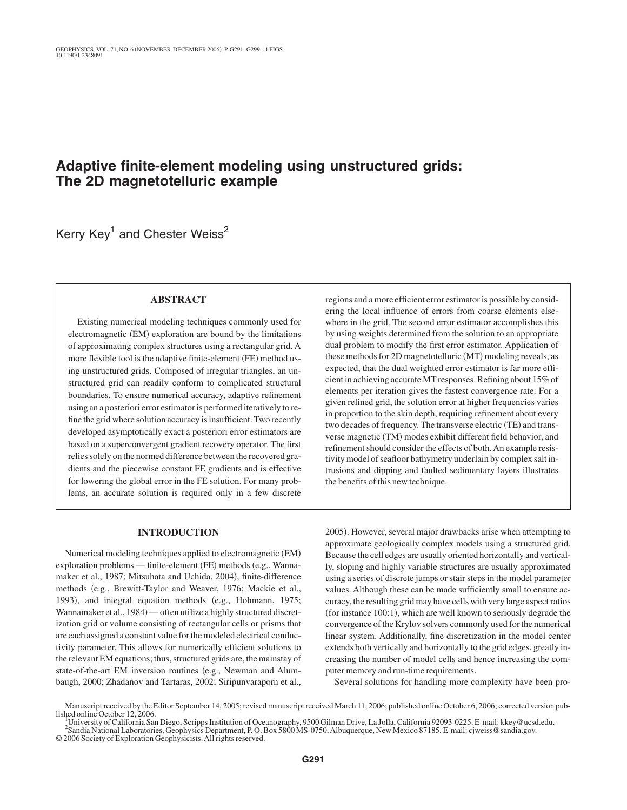# **Adaptive finite-element modeling using unstructured grids: The 2D magnetotelluric example**

Kerry  $Kev<sup>1</sup>$  and Chester Weiss<sup>2</sup>

## **ABSTRACT**

Existing numerical modeling techniques commonly used for electromagnetic (EM) exploration are bound by the limitations of approximating complex structures using a rectangular grid. A more flexible tool is the adaptive finite-element (FE) method using unstructured grids. Composed of irregular triangles, an unstructured grid can readily conform to complicated structural boundaries. To ensure numerical accuracy, adaptive refinement using an a posteriori error estimator is performed iteratively to refine the grid where solution accuracy is insufficient. Two recently developed asymptotically exact a posteriori error estimators are based on a superconvergent gradient recovery operator. The first relies solely on the normed difference between the recovered gradients and the piecewise constant FE gradients and is effective for lowering the global error in the FE solution. For many problems, an accurate solution is required only in a few discrete regions and a more efficient error estimator is possible by considering the local influence of errors from coarse elements elsewhere in the grid. The second error estimator accomplishes this by using weights determined from the solution to an appropriate dual problem to modify the first error estimator. Application of these methods for 2D magnetotelluric (MT) modeling reveals, as expected, that the dual weighted error estimator is far more efficient in achieving accurate MT responses. Refining about 15% of elements per iteration gives the fastest convergence rate. For a given refined grid, the solution error at higher frequencies varies in proportion to the skin depth, requiring refinement about every two decades of frequency. The transverse electric (TE) and transverse magnetic (TM) modes exhibit different field behavior, and refinement should consider the effects of both.An example resistivity model of seafloor bathymetry underlain by complex salt intrusions and dipping and faulted sedimentary layers illustrates the benefits of this new technique.

#### **INTRODUCTION**

Numerical modeling techniques applied to electromagnetic (EM) exploration problems — finite-element (FE) methods (e.g., Wannamaker et al., 1987; Mitsuhata and Uchida, 2004), finite-difference methods (e.g., Brewitt-Taylor and Weaver, 1976; Mackie et al., 1993), and integral equation methods (e.g., Hohmann, 1975; Wannamaker et al., 1984) — often utilize a highly structured discretization grid or volume consisting of rectangular cells or prisms that are each assigned a constant value for the modeled electrical conductivity parameter. This allows for numerically efficient solutions to the relevant EM equations; thus, structured grids are, the mainstay of state-of-the-art EM inversion routines (e.g., Newman and Alumbaugh, 2000; Zhadanov and Tartaras, 2002; Siripunvaraporn et al.,

2005). However, several major drawbacks arise when attempting to approximate geologically complex models using a structured grid. Because the cell edges are usually oriented horizontally and vertically, sloping and highly variable structures are usually approximated using a series of discrete jumps or stair steps in the model parameter values. Although these can be made sufficiently small to ensure accuracy, the resulting grid may have cells with very large aspect ratios  $($ for instance 100:1 $)$ , which are well known to seriously degrade the convergence of the Krylov solvers commonly used for the numerical linear system. Additionally, fine discretization in the model center extends both vertically and horizontally to the grid edges, greatly increasing the number of model cells and hence increasing the computer memory and run-time requirements.

Several solutions for handling more complexity have been pro-

<sup>1</sup>University of California San Diego, Scripps Institution of Oceanography, 9500 Gilman Drive, La Jolla, California 92093-0225. E-mail: kkey@ucsd.edu. <sup>2</sup>Sandia National Laboratories, Geophysics Department, P. O. Box 5800 MS-0750, Albuquerque, New Mexico 87185. E-mail: cjweiss@sandia.gov.

Manuscript received by the Editor September 14, 2005; revised manuscript received March 11, 2006; published online October 6, 2006; corrected version published online October 12, 2006.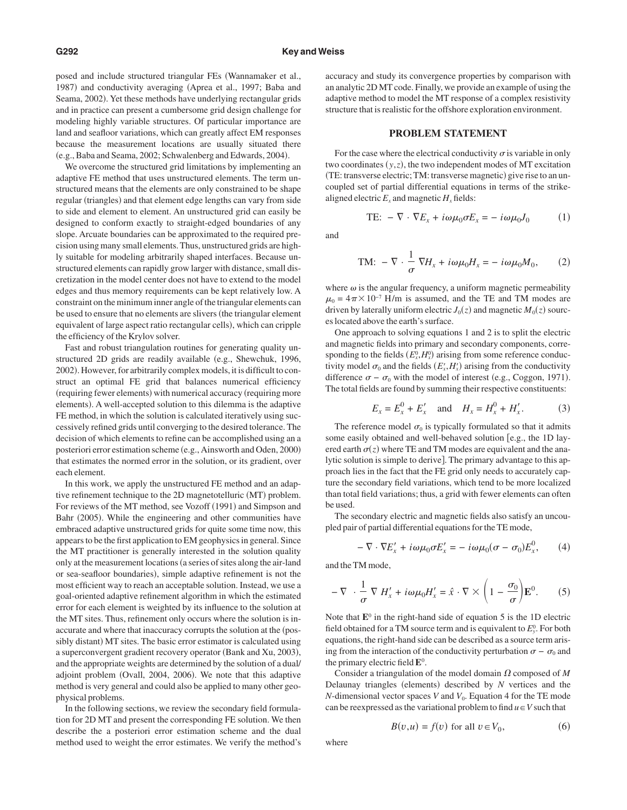posed and include structured triangular FEs (Wannamaker et al., 1987) and conductivity averaging (Aprea et al., 1997; Baba and Seama, 2002). Yet these methods have underlying rectangular grids and in practice can present a cumbersome grid design challenge for modeling highly variable structures. Of particular importance are land and seafloor variations, which can greatly affect EM responses because the measurement locations are usually situated there (e.g., Baba and Seama, 2002; Schwalenberg and Edwards, 2004).

We overcome the structured grid limitations by implementing an adaptive FE method that uses unstructured elements. The term unstructured means that the elements are only constrained to be shape regular (triangles) and that element edge lengths can vary from side to side and element to element. An unstructured grid can easily be designed to conform exactly to straight-edged boundaries of any slope. Arcuate boundaries can be approximated to the required precision using many small elements. Thus, unstructured grids are highly suitable for modeling arbitrarily shaped interfaces. Because unstructured elements can rapidly grow larger with distance, small discretization in the model center does not have to extend to the model edges and thus memory requirements can be kept relatively low. A constraint on the minimum inner angle of the triangular elements can be used to ensure that no elements are slivers (the triangular element equivalent of large aspect ratio rectangular cells), which can cripple the efficiency of the Krylov solver.

Fast and robust triangulation routines for generating quality unstructured 2D grids are readily available (e.g., Shewchuk, 1996, 2002). However, for arbitrarily complex models, it is difficult to construct an optimal FE grid that balances numerical efficiency (requiring fewer elements) with numerical accuracy (requiring more elements). A well-accepted solution to this dilemma is the adaptive FE method, in which the solution is calculated iteratively using successively refined grids until converging to the desired tolerance. The decision of which elements to refine can be accomplished using an a posteriori error estimation scheme (e.g., Ainsworth and Oden, 2000) that estimates the normed error in the solution, or its gradient, over each element.

In this work, we apply the unstructured FE method and an adaptive refinement technique to the 2D magnetotelluric (MT) problem. For reviews of the MT method, see Vozoff (1991) and Simpson and Bahr (2005). While the engineering and other communities have embraced adaptive unstructured grids for quite some time now, this appears to be the first application to EM geophysics in general. Since the MT practitioner is generally interested in the solution quality only at the measurement locations (a series of sites along the air-land or sea-seafloor boundaries), simple adaptive refinement is not the most efficient way to reach an acceptable solution. Instead, we use a goal-oriented adaptive refinement algorithm in which the estimated error for each element is weighted by its influence to the solution at the MT sites. Thus, refinement only occurs where the solution is inaccurate and where that inaccuracy corrupts the solution at the (possibly distant) MT sites. The basic error estimator is calculated using a superconvergent gradient recovery operator (Bank and Xu, 2003), and the appropriate weights are determined by the solution of a dual/ adjoint problem (Ovall, 2004, 2006). We note that this adaptive method is very general and could also be applied to many other geophysical problems.

In the following sections, we review the secondary field formulation for 2D MT and present the corresponding FE solution. We then describe the a posteriori error estimation scheme and the dual method used to weight the error estimates. We verify the method's accuracy and study its convergence properties by comparison with an analytic 2D MT code. Finally, we provide an example of using the adaptive method to model the MT response of a complex resistivity structure that is realistic for the offshore exploration environment.

## **PROBLEM STATEMENT**

For the case where the electrical conductivity  $\sigma$  is variable in only two coordinates  $(y, z)$ , the two independent modes of MT excitation (TE: transverse electric; TM: transverse magnetic) give rise to an uncoupled set of partial differential equations in terms of the strikealigned electric  $E_x$  and magnetic  $H_x$  fields:

and

TE: 
$$
-\nabla \cdot \nabla E_x + i\omega \mu_0 \sigma E_x = -i\omega \mu_0 J_0
$$
 (1)

$$
TM: -\nabla \cdot \frac{1}{\sigma} \nabla H_x + i\omega \mu_0 H_x = -i\omega \mu_0 M_0, \qquad (2)
$$

where  $\omega$  is the angular frequency, a uniform magnetic permeability  $\mu_0 = 4\pi \times 10^{-7}$  H/m is assumed, and the TE and TM modes are driven by laterally uniform electric  $J_0(z)$  and magnetic  $M_0(z)$  sources located above the earth's surface.

One approach to solving equations 1 and 2 is to split the electric and magnetic fields into primary and secondary components, corresponding to the fields  $(E_x^0, H_x^0)$  arising from some reference conductivity model  $\sigma_0$  and the fields  $(E'_x, H'_x)$  arising from the conductivity difference  $\sigma - \sigma_0$  with the model of interest (e.g., Coggon, 1971). The total fields are found by summing their respective constituents:

$$
E_x = E_x^0 + E'_x \text{ and } H_x = H_x^0 + H'_x. \tag{3}
$$

The reference model  $\sigma_0$  is typically formulated so that it admits some easily obtained and well-behaved solution  $[e.g.,$  the 1D layered earth  $\sigma(z)$  where TE and TM modes are equivalent and the analytic solution is simple to derive]. The primary advantage to this approach lies in the fact that the FE grid only needs to accurately capture the secondary field variations, which tend to be more localized than total field variations; thus, a grid with fewer elements can often be used.

The secondary electric and magnetic fields also satisfy an uncoupled pair of partial differential equations for the TE mode,

$$
-\nabla \cdot \nabla E'_x + i\omega \mu_0 \sigma E'_x = -i\omega \mu_0 (\sigma - \sigma_0) E_x^0, \qquad (4)
$$

and the TM mode,

$$
-\nabla \cdot \frac{1}{\sigma} \nabla H'_x + i\omega \mu_0 H'_x = \hat{x} \cdot \nabla \times \left(1 - \frac{\sigma_0}{\sigma}\right) \mathbf{E}^0. \tag{5}
$$

Note that  $E^0$  in the right-hand side of equation 5 is the 1D electric field obtained for a TM source term and is equivalent to  $E_y^0$ . For both equations, the right-hand side can be described as a source term arising from the interaction of the conductivity perturbation  $\sigma - \sigma_0$  and the primary electric field  $\mathbf{E}^0$ .

Consider a triangulation of the model domain  $\Omega$  composed of  $M$ Delaunay triangles (elements) described by *N* vertices and the *N*-dimensional vector spaces *V* and  $V_0$ . Equation 4 for the TE mode can be reexpressed as the variational problem to find  $u \in V$  such that

$$
B(v, u) = f(v) \text{ for all } v \in V_0,
$$
 (6)

where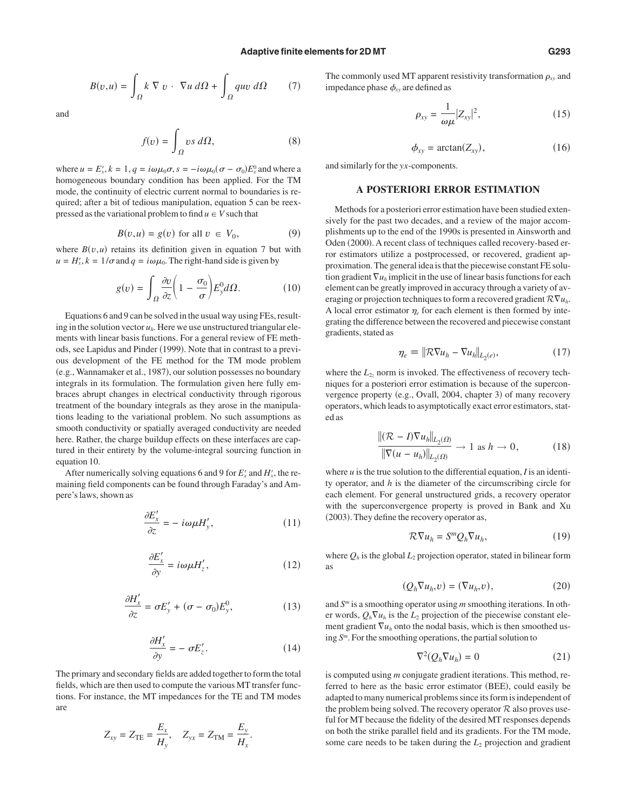$$
B(v, u) = \int_{\Omega} k \nabla v \cdot \nabla u \, d\Omega + \int_{\Omega} quv \, d\Omega \qquad (7)
$$

and

$$
f(v) = \int_{\Omega} vs \, d\Omega, \tag{8}
$$

where  $u = E'_x$ ,  $k = 1$ ,  $q = i\omega\mu_0 \sigma$ ,  $s = -i\omega\mu_0 (\sigma - \sigma_0)E_x^0$  and where a homogeneous boundary condition has been applied. For the TM mode, the continuity of electric current normal to boundaries is required; after a bit of tedious manipulation, equation 5 can be reexpressed as the variational problem to find  $u \in V$  such that

$$
B(v, u) = g(v) \text{ for all } v \in V_0,
$$
 (9)

where  $B(v, u)$  retains its definition given in equation 7 but with  $u = H'_x$ ,  $k = 1/\sigma$  and  $q = i\omega\mu_0$ . The right-hand side is given by

$$
g(v) = \int_{\Omega} \frac{\partial v}{\partial z} \left( 1 - \frac{\sigma_0}{\sigma} \right) E_y^0 d\Omega.
$$
 (10)

Equations 6 and 9 can be solved in the usual way using FEs, resulting in the solution vector  $u<sub>h</sub>$ . Here we use unstructured triangular elements with linear basis functions. For a general review of FE methods, see Lapidus and Pinder (1999). Note that in contrast to a previous development of the FE method for the TM mode problem (e.g., Wannamaker et al., 1987), our solution possesses no boundary integrals in its formulation. The formulation given here fully embraces abrupt changes in electrical conductivity through rigorous treatment of the boundary integrals as they arose in the manipulations leading to the variational problem. No such assumptions as smooth conductivity or spatially averaged conductivity are needed here. Rather, the charge buildup effects on these interfaces are captured in their entirety by the volume-integral sourcing function in equation 10.

After numerically solving equations 6 and 9 for  $E'_x$  and  $H'_x$ , the remaining field components can be found through Faraday's and Ampere's laws, shown as

$$
\frac{\partial E'_x}{\partial z} = -i\omega\mu H'_y,\tag{11}
$$

$$
\frac{\partial E'_x}{\partial y} = i\omega\mu H'_z,\tag{12}
$$

$$
\frac{\partial H'_x}{\partial z} = \sigma E'_y + (\sigma - \sigma_0) E_y^0, \qquad (13)
$$

$$
\frac{\partial H'_x}{\partial y} = -\sigma E'_z.
$$
 (14)

The primary and secondary fields are added together to form the total fields, which are then used to compute the various MT transfer functions. For instance, the MT impedances for the TE and TM modes are

$$
Z_{xy} = Z_{TE} = \frac{E_x}{H_y}, \quad Z_{yx} = Z_{TM} = \frac{E_y}{H_x}.
$$

The commonly used MT apparent resistivity transformation  $\rho_{xy}$  and impedance phase  $\phi_{xy}$  are defined as

$$
\rho_{xy} = \frac{1}{\omega \mu} |Z_{xy}|^2, \qquad (15)
$$

$$
\phi_{xy} = \arctan(Z_{xy}),\tag{16}
$$

and similarly for the *yx*-components.

## **A POSTERIORI ERROR ESTIMATION**

Methods for a posteriori error estimation have been studied extensively for the past two decades, and a review of the major accomplishments up to the end of the 1990s is presented in Ainsworth and Oden (2000). A recent class of techniques called recovery-based error estimators utilize a postprocessed, or recovered, gradient approximation. The general idea is that the piecewise constant FE solution gradient  $\nabla u_h$  implicit in the use of linear basis functions for each element can be greatly improved in accuracy through a variety of averaging or projection techniques to form a recovered gradient  $\mathcal{R}\nabla u_h$ . A local error estimator  $\eta_e$  for each element is then formed by integrating the difference between the recovered and piecewise constant gradients, stated as

$$
\eta_e \equiv \|\mathcal{R}\nabla u_h - \nabla u_h\|_{L_2(e)},\tag{17}
$$

where the  $L_{2z}$  norm is invoked. The effectiveness of recovery techniques for a posteriori error estimation is because of the superconvergence property (e.g., Ovall, 2004, chapter 3) of many recovery operators, which leads to asymptotically exact error estimators, stated as

$$
\frac{\left\| (\mathcal{R} - I)\nabla u_h \right\|_{L_2(\Omega)}}{\left\| \nabla (u - u_h) \right\|_{L_2(\Omega)}} \to 1 \text{ as } h \to 0,
$$
\n(18)

where  $u$  is the true solution to the differential equation,  $I$  is an identity operator, and *h* is the diameter of the circumscribing circle for each element. For general unstructured grids, a recovery operator with the superconvergence property is proved in Bank and Xu (2003). They define the recovery operator as,

$$
\mathcal{R}\nabla u_h = S^m Q_h \nabla u_h, \qquad (19)
$$

where  $Q_h$  is the global  $L_2$  projection operator, stated in bilinear form as

$$
(Q_h \nabla u_h, v) = (\nabla u_h, v), \qquad (20)
$$

and *Sm* is a smoothing operator using *m* smoothing iterations. In other words,  $Q_h \nabla u_h$  is the  $L_2$  projection of the piecewise constant element gradient  $\nabla u_h$  onto the nodal basis, which is then smoothed using *Sm*. For the smoothing operations, the partial solution to

$$
\nabla^2 (Q_h \nabla u_h) = 0 \tag{21}
$$

is computed using *m* conjugate gradient iterations. This method, referred to here as the basic error estimator (BEE), could easily be adapted to many numerical problems since its form is independent of the problem being solved. The recovery operator  $R$  also proves useful for MT because the fidelity of the desired MT responses depends on both the strike parallel field and its gradients. For the TM mode, some care needs to be taken during the  $L_2$  projection and gradient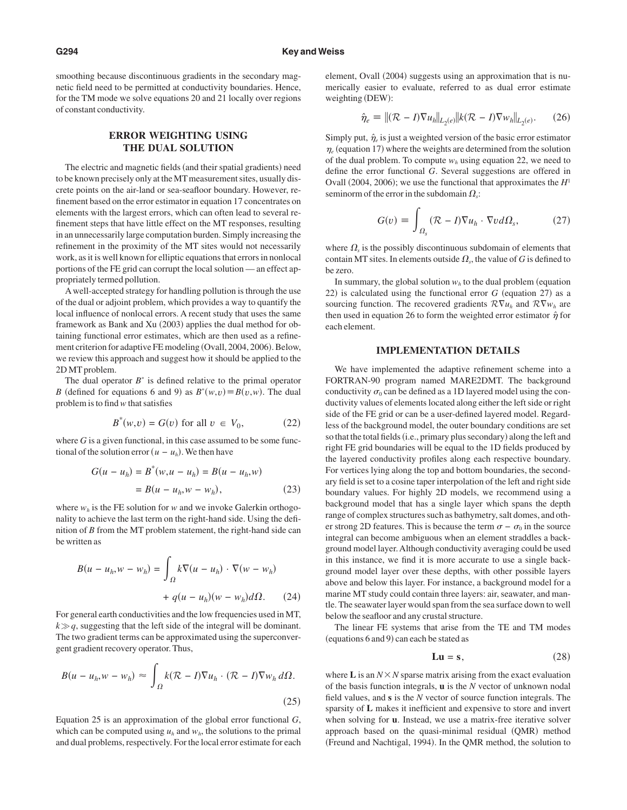smoothing because discontinuous gradients in the secondary magnetic field need to be permitted at conductivity boundaries. Hence, for the TM mode we solve equations 20 and 21 locally over regions of constant conductivity.

## **ERROR WEIGHTING USING THE DUAL SOLUTION**

The electric and magnetic fields (and their spatial gradients) need to be known precisely only at the MT measurement sites, usually discrete points on the air-land or sea-seafloor boundary. However, refinement based on the error estimator in equation 17 concentrates on elements with the largest errors, which can often lead to several refinement steps that have little effect on the MT responses, resulting in an unnecessarily large computation burden. Simply increasing the refinement in the proximity of the MT sites would not necessarily work, as it is well known for elliptic equations that errors in nonlocal portions of the FE grid can corrupt the local solution — an effect appropriately termed pollution.

A well-accepted strategy for handling pollution is through the use of the dual or adjoint problem, which provides a way to quantify the local influence of nonlocal errors. A recent study that uses the same framework as Bank and Xu (2003) applies the dual method for obtaining functional error estimates, which are then used as a refinement criterion for adaptive FE modeling (Ovall, 2004, 2006). Below, we review this approach and suggest how it should be applied to the 2D MT problem.

The dual operator  $B^*$  is defined relative to the primal operator *B* (defined for equations 6 and 9) as  $B^*(w, v) \equiv B(v, w)$ . The dual problem is to find*w* that satisfies

$$
B^*(w, v) = G(v) \text{ for all } v \in V_0,
$$
 (22)

where  $G$  is a given functional, in this case assumed to be some functional of the solution error  $(u - u_h)$ . We then have

$$
G(u - u_h) = B^*(w, u - u_h) = B(u - u_h, w)
$$
  
= B(u - u\_h, w - w\_h), (23)

where  $w_h$  is the FE solution for *w* and we invoke Galerkin orthogonality to achieve the last term on the right-hand side. Using the definition of *B* from the MT problem statement, the right-hand side can be written as

$$
B(u - u_h, w - w_h) = \int_{\Omega} k \nabla (u - u_h) \cdot \nabla (w - w_h)
$$

$$
+ q(u - u_h)(w - w_h) d\Omega. \qquad (24)
$$

For general earth conductivities and the low frequencies used in MT,  $k \gg q$ , suggesting that the left side of the integral will be dominant. The two gradient terms can be approximated using the superconvergent gradient recovery operator. Thus,

$$
B(u - u_h, w - w_h) \approx \int_{\Omega} k(\mathcal{R} - I)\nabla u_h \cdot (\mathcal{R} - I)\nabla w_h d\Omega.
$$
\n(25)

Equation 25 is an approximation of the global error functional *G*, which can be computed using  $u_h$  and  $w_h$ , the solutions to the primal and dual problems, respectively. For the local error estimate for each element, Ovall (2004) suggests using an approximation that is numerically easier to evaluate, referred to as dual error estimate weighting (DEW):

$$
\hat{\eta}_e \equiv \| (\mathcal{R} - I) \nabla u_h \|_{L_2(e)} \| k(\mathcal{R} - I) \nabla w_h \|_{L_2(e)}.
$$
 (26)

Simply put,  $\hat{\eta}_e$  is just a weighted version of the basic error estimator  $\eta_e$  (equation 17) where the weights are determined from the solution of the dual problem. To compute  $w_h$  using equation 22, we need to define the error functional *G*. Several suggestions are offered in Ovall  $(2004, 2006)$ ; we use the functional that approximates the  $H<sup>1</sup>$ seminorm of the error in the subdomain  $\Omega_s$ :

$$
G(v) \equiv \int_{\Omega_s} (\mathcal{R} - I) \nabla u_h \cdot \nabla v d\Omega_s, \qquad (27)
$$

where  $\Omega_s$  is the possibly discontinuous subdomain of elements that contain MT sites. In elements outside  $\Omega$ , the value of *G* is defined to be zero.

In summary, the global solution  $w<sub>h</sub>$  to the dual problem (equation 22) is calculated using the functional error  $G$  (equation 27) as a sourcing function. The recovered gradients  $R\nabla u_h$  and  $R\nabla w_h$  are then used in equation 26 to form the weighted error estimator  $\hat{\eta}$  for each element.

#### **IMPLEMENTATION DETAILS**

We have implemented the adaptive refinement scheme into a FORTRAN-90 program named MARE2DMT. The background conductivity  $\sigma_0$  can be defined as a 1D layered model using the conductivity values of elements located along either the left side or right side of the FE grid or can be a user-defined layered model. Regardless of the background model, the outer boundary conditions are set so that the total fields (i.e., primary plus secondary) along the left and right FE grid boundaries will be equal to the 1D fields produced by the layered conductivity profiles along each respective boundary. For vertices lying along the top and bottom boundaries, the secondary field is set to a cosine taper interpolation of the left and right side boundary values. For highly 2D models, we recommend using a background model that has a single layer which spans the depth range of complex structures such as bathymetry, salt domes, and other strong 2D features. This is because the term  $\sigma - \sigma_0$  in the source integral can become ambiguous when an element straddles a background model layer. Although conductivity averaging could be used in this instance, we find it is more accurate to use a single background model layer over these depths, with other possible layers above and below this layer. For instance, a background model for a marine MT study could contain three layers: air, seawater, and mantle. The seawater layer would span from the sea surface down to well below the seafloor and any crustal structure.

The linear FE systems that arise from the TE and TM modes (equations 6 and 9) can each be stated as

$$
Lu = s, \tag{28}
$$

where **L** is an  $N \times N$  sparse matrix arising from the exact evaluation of the basis function integrals, **u** is the *N* vector of unknown nodal field values, and **s** is the *N* vector of source function integrals. The sparsity of **L** makes it inefficient and expensive to store and invert when solving for **u**. Instead, we use a matrix-free iterative solver approach based on the quasi-minimal residual (QMR) method (Freund and Nachtigal, 1994). In the QMR method, the solution to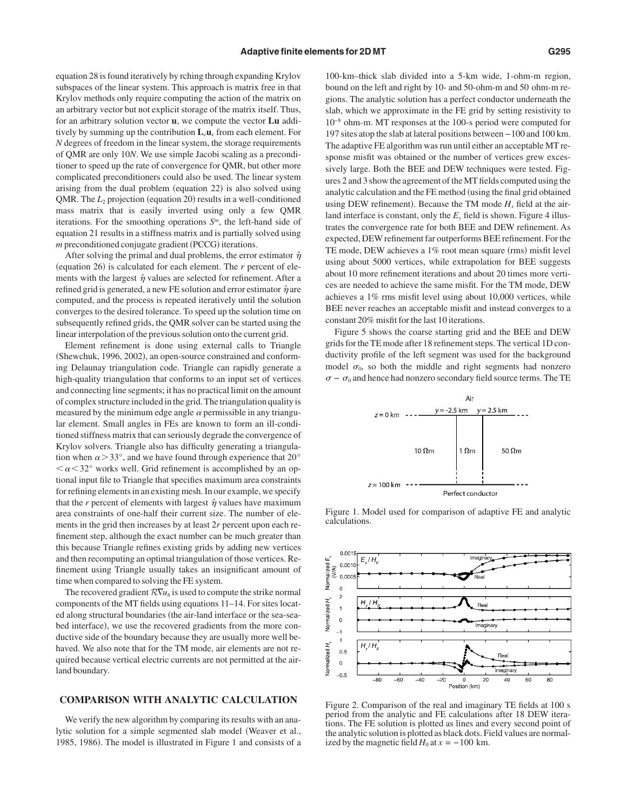equation 28 is found iteratively by rching through expanding Krylov subspaces of the linear system. This approach is matrix free in that Krylov methods only require computing the action of the matrix on an arbitrary vector but not explicit storage of the matrix itself. Thus, for an arbitrary solution vector **u**, we compute the vector **Lu** additively by summing up the contribution **L***e***u***<sup>e</sup>* from each element. For *N* degrees of freedom in the linear system, the storage requirements of QMR are only 10*N*. We use simple Jacobi scaling as a preconditioner to speed up the rate of convergence for QMR, but other more complicated preconditioners could also be used. The linear system arising from the dual problem (equation 22) is also solved using QMR. The  $L_2$  projection (equation 20) results in a well-conditioned mass matrix that is easily inverted using only a few QMR iterations. For the smoothing operations *Sm*, the left-hand side of equation 21 results in a stiffness matrix and is partially solved using *m* preconditioned conjugate gradient (PCCG) iterations.

After solving the primal and dual problems, the error estimator  $\hat{\eta}$ (equation 26) is calculated for each element. The  $r$  percent of elements with the largest  $\hat{\eta}$  values are selected for refinement. After a refined grid is generated, a new FE solution and error estimator  $\hat{\eta}$  are computed, and the process is repeated iteratively until the solution converges to the desired tolerance. To speed up the solution time on subsequently refined grids, the QMR solver can be started using the linear interpolation of the previous solution onto the current grid.

Element refinement is done using external calls to Triangle (Shewchuk, 1996, 2002), an open-source constrained and conforming Delaunay triangulation code. Triangle can rapidly generate a high-quality triangulation that conforms to an input set of vertices and connecting line segments; it has no practical limit on the amount of complex structure included in the grid. The triangulation quality is measured by the minimum edge angle  $\alpha$  permissible in any triangular element. Small angles in FEs are known to form an ill-conditioned stiffness matrix that can seriously degrade the convergence of Krylov solvers. Triangle also has difficulty generating a triangulation when  $\alpha$  > 33°, and we have found through experience that 20°  $\alpha$  < 32° works well. Grid refinement is accomplished by an optional input file to Triangle that specifies maximum area constraints for refining elements in an existing mesh. In our example, we specify that the *r* percent of elements with largest  $\hat{\eta}$  values have maximum area constraints of one-half their current size. The number of elements in the grid then increases by at least 2*r* percent upon each refinement step, although the exact number can be much greater than this because Triangle refines existing grids by adding new vertices and then recomputing an optimal triangulation of those vertices. Refinement using Triangle usually takes an insignificant amount of time when compared to solving the FE system.

The recovered gradient  $R\nabla u_h$  is used to compute the strike normal components of the MT fields using equations 11–14. For sites located along structural boundaries (the air-land interface or the sea-seabed interface), we use the recovered gradients from the more conductive side of the boundary because they are usually more well behaved. We also note that for the TM mode, air elements are not required because vertical electric currents are not permitted at the airland boundary.

## **COMPARISON WITH ANALYTIC CALCULATION**

We verify the new algorithm by comparing its results with an analytic solution for a simple segmented slab model (Weaver et al., 1985, 1986). The model is illustrated in Figure 1 and consists of a

100-km–thick slab divided into a 5-km wide, 1-ohm-m region, bound on the left and right by 10- and 50-ohm-m and 50 ohm-m regions. The analytic solution has a perfect conductor underneath the slab, which we approximate in the FE grid by setting resistivity to 10<sup>−</sup><sup>8</sup> ohm-m. MT responses at the 100-s period were computed for 197 sites atop the slab at lateral positions between −100 and 100 km. The adaptive FE algorithm was run until either an acceptable MT response misfit was obtained or the number of vertices grew excessively large. Both the BEE and DEW techniques were tested. Figures 2 and 3 show the agreement of the MT fields computed using the analytic calculation and the FE method (using the final grid obtained using DEW refinement). Because the TM mode  $H<sub>x</sub>$  field at the airland interface is constant, only the  $E<sub>v</sub>$  field is shown. Figure 4 illustrates the convergence rate for both BEE and DEW refinement. As expected, DEW refinement far outperforms BEE refinement. For the TE mode, DEW achieves a  $1\%$  root mean square (rms) misfit level using about 5000 vertices, while extrapolation for BEE suggests about 10 more refinement iterations and about 20 times more vertices are needed to achieve the same misfit. For the TM mode, DEW achieves a 1% rms misfit level using about 10,000 vertices, while BEE never reaches an acceptable misfit and instead converges to a constant 20% misfit for the last 10 iterations.

Figure 5 shows the coarse starting grid and the BEE and DEW grids for the TE mode after 18 refinement steps. The vertical 1D conductivity profile of the left segment was used for the background model  $\sigma_0$ , so both the middle and right segments had nonzero  $\sigma - \sigma_0$  and hence had nonzero secondary field source terms. The TE



Figure 1. Model used for comparison of adaptive FE and analytic calculations.



Figure 2. Comparison of the real and imaginary TE fields at 100 s period from the analytic and FE calculations after 18 DEW iterations. The FE solution is plotted as lines and every second point of the analytic solution is plotted as black dots. Field values are normalized by the magnetic field  $H_0$  at  $x = -100$  km.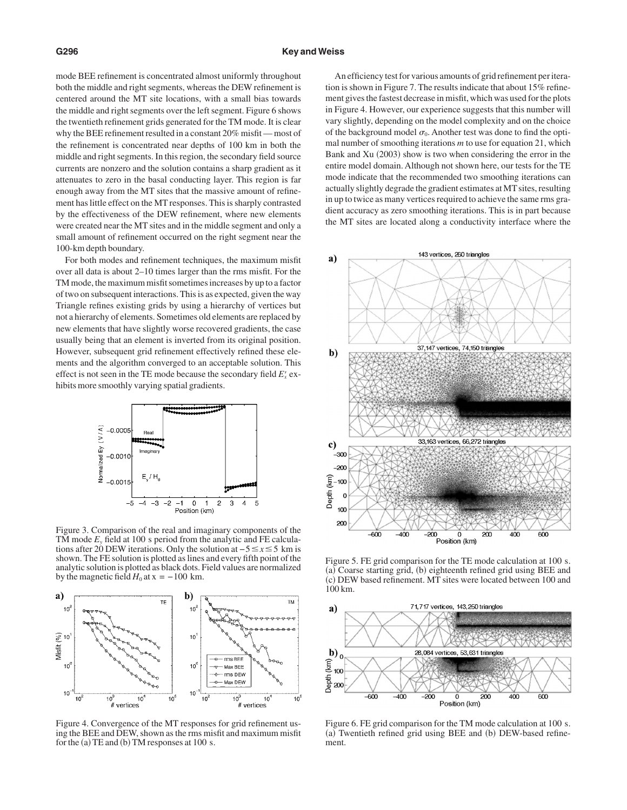mode BEE refinement is concentrated almost uniformly throughout both the middle and right segments, whereas the DEW refinement is centered around the MT site locations, with a small bias towards the middle and right segments over the left segment. Figure 6 shows the twentieth refinement grids generated for the TM mode. It is clear why the BEE refinement resulted in a constant 20% misfit— most of the refinement is concentrated near depths of 100 km in both the middle and right segments. In this region, the secondary field source currents are nonzero and the solution contains a sharp gradient as it attenuates to zero in the basal conducting layer. This region is far enough away from the MT sites that the massive amount of refinement has little effect on the MT responses. This is sharply contrasted by the effectiveness of the DEW refinement, where new elements were created near the MT sites and in the middle segment and only a small amount of refinement occurred on the right segment near the 100-km depth boundary.

For both modes and refinement techniques, the maximum misfit over all data is about 2–10 times larger than the rms misfit. For the TM mode, the maximum misfit sometimes increases by up to a factor of two on subsequent interactions. This is as expected, given the way Triangle refines existing grids by using a hierarchy of vertices but not a hierarchy of elements. Sometimes old elements are replaced by new elements that have slightly worse recovered gradients, the case usually being that an element is inverted from its original position. However, subsequent grid refinement effectively refined these elements and the algorithm converged to an acceptable solution. This effect is not seen in the TE mode because the secondary field  $E'_{x}$  exhibits more smoothly varying spatial gradients.



Figure 3. Comparison of the real and imaginary components of the TM mode *Ey* field at 100 s period from the analytic and FE calculations after 20 DEW iterations. Only the solution at  $-5 \le x \le 5$  km is shown. The FE solution is plotted as lines and every fifth point of the analytic solution is plotted as black dots. Field values are normalized by the magnetic field  $H_0$  at  $x = -100$  km.



Figure 4. Convergence of the MT responses for grid refinement using the BEE and DEW, shown as the rms misfit and maximum misfit for the (a) TE and (b) TM responses at  $100 \text{ s.}$ 

An efficiency test for various amounts of grid refinement per iteration is shown in Figure 7. The results indicate that about 15% refinement gives the fastest decrease in misfit, which was used for the plots in Figure 4. However, our experience suggests that this number will vary slightly, depending on the model complexity and on the choice of the background model  $\sigma_0$ . Another test was done to find the optimal number of smoothing iterations *m* to use for equation 21, which Bank and Xu  $(2003)$  show is two when considering the error in the entire model domain. Although not shown here, our tests for the TE mode indicate that the recommended two smoothing iterations can actually slightly degrade the gradient estimates at MT sites, resulting in up to twice as many vertices required to achieve the same rms gradient accuracy as zero smoothing iterations. This is in part because the MT sites are located along a conductivity interface where the



Figure 5. FE grid comparison for the TE mode calculation at 100 s. (a) Coarse starting grid, (b) eighteenth refined grid using BEE and (c) DEW based refinement. MT sites were located between 100 and 100 km.



Figure 6. FE grid comparison for the TM mode calculation at 100 s. (a) Twentieth refined grid using BEE and (b) DEW-based refinement.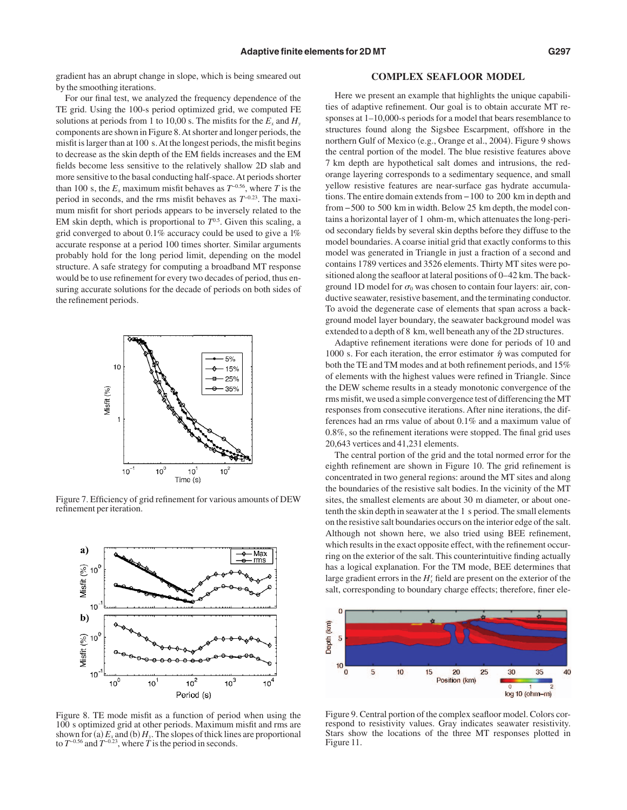gradient has an abrupt change in slope, which is being smeared out by the smoothing iterations.

For our final test, we analyzed the frequency dependence of the TE grid. Using the 100-s period optimized grid, we computed FE solutions at periods from 1 to 10,00 s. The misfits for the  $E_x$  and  $H_y$ components are shown in Figure 8.At shorter and longer periods, the misfit is larger than at 100 s. At the longest periods, the misfit begins to decrease as the skin depth of the EM fields increases and the EM fields become less sensitive to the relatively shallow 2D slab and more sensitive to the basal conducting half-space. At periods shorter than 100 s, the  $E_x$  maximum misfit behaves as  $T^{-0.56}$ , where *T* is the period in seconds, and the rms misfit behaves as *T*<sup>−</sup>0.23. The maximum misfit for short periods appears to be inversely related to the EM skin depth, which is proportional to  $T^{0.5}$ . Given this scaling, a grid converged to about 0.1% accuracy could be used to give a 1% accurate response at a period 100 times shorter. Similar arguments probably hold for the long period limit, depending on the model structure. A safe strategy for computing a broadband MT response would be to use refinement for every two decades of period, thus ensuring accurate solutions for the decade of periods on both sides of the refinement periods.



Figure 7. Efficiency of grid refinement for various amounts of DEW refinement per iteration.



Figure 8. TE mode misfit as a function of period when using the 100 s optimized grid at other periods. Maximum misfit and rms are shown for (a)  $E_x$  and (b)  $H_y$ . The slopes of thick lines are proportional to *T*<sup>−</sup>0.56 and *T*<sup>−</sup>0.23, where *T* is the period in seconds.

## **COMPLEX SEAFLOOR MODEL**

Here we present an example that highlights the unique capabilities of adaptive refinement. Our goal is to obtain accurate MT responses at 1–10,000-s periods for a model that bears resemblance to structures found along the Sigsbee Escarpment, offshore in the northern Gulf of Mexico (e.g., Orange et al., 2004). Figure 9 shows the central portion of the model. The blue resistive features above 7 km depth are hypothetical salt domes and intrusions, the redorange layering corresponds to a sedimentary sequence, and small yellow resistive features are near-surface gas hydrate accumulations. The entire domain extends from −100 to 200 km in depth and from −500 to 500 km in width. Below 25 km depth, the model contains a horizontal layer of 1 ohm-m, which attenuates the long-period secondary fields by several skin depths before they diffuse to the model boundaries. A coarse initial grid that exactly conforms to this model was generated in Triangle in just a fraction of a second and contains 1789 vertices and 3526 elements. Thirty MT sites were positioned along the seafloor at lateral positions of 0–42 km. The background 1D model for  $\sigma_0$  was chosen to contain four layers: air, conductive seawater, resistive basement, and the terminating conductor. To avoid the degenerate case of elements that span across a background model layer boundary, the seawater background model was extended to a depth of 8 km, well beneath any of the 2D structures.

Adaptive refinement iterations were done for periods of 10 and 1000 s. For each iteration, the error estimator  $\hat{\eta}$  was computed for both the TE and TM modes and at both refinement periods, and 15% of elements with the highest values were refined in Triangle. Since the DEW scheme results in a steady monotonic convergence of the rms misfit, we used a simple convergence test of differencing the MT responses from consecutive iterations. After nine iterations, the differences had an rms value of about 0.1% and a maximum value of 0.8%, so the refinement iterations were stopped. The final grid uses 20,643 vertices and 41,231 elements.

The central portion of the grid and the total normed error for the eighth refinement are shown in Figure 10. The grid refinement is concentrated in two general regions: around the MT sites and along the boundaries of the resistive salt bodies. In the vicinity of the MT sites, the smallest elements are about 30 m diameter, or about onetenth the skin depth in seawater at the 1 s period. The small elements on the resistive salt boundaries occurs on the interior edge of the salt. Although not shown here, we also tried using BEE refinement, which results in the exact opposite effect, with the refinement occurring on the exterior of the salt. This counterintuitive finding actually has a logical explanation. For the TM mode, BEE determines that large gradient errors in the  $H'_x$  field are present on the exterior of the salt, corresponding to boundary charge effects; therefore, finer ele-



Figure 9. Central portion of the complex seafloor model. Colors correspond to resistivity values. Gray indicates seawater resistivity. Stars show the locations of the three MT responses plotted in Figure 11.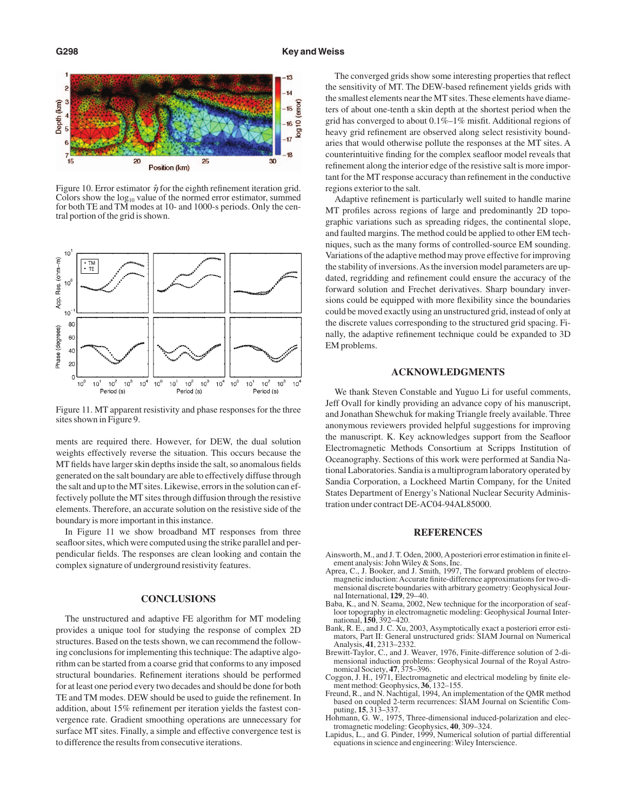#### **G298 Key and Weiss**



Figure 10. Error estimator  $\hat{\eta}$  for the eighth refinement iteration grid. Colors show the  $log_{10}$  value of the normed error estimator, summed for both TE and TM modes at 10- and 1000-s periods. Only the central portion of the grid is shown.



Figure 11. MT apparent resistivity and phase responses for the three sites shown in Figure 9.

ments are required there. However, for DEW, the dual solution weights effectively reverse the situation. This occurs because the MT fields have larger skin depths inside the salt, so anomalous fields generated on the salt boundary are able to effectively diffuse through the salt and up to the MT sites. Likewise, errors in the solution can effectively pollute the MT sites through diffusion through the resistive elements. Therefore, an accurate solution on the resistive side of the boundary is more important in this instance.

In Figure 11 we show broadband MT responses from three seafloor sites, which were computed using the strike parallel and perpendicular fields. The responses are clean looking and contain the complex signature of underground resistivity features.

#### **CONCLUSIONS**

The unstructured and adaptive FE algorithm for MT modeling provides a unique tool for studying the response of complex 2D structures. Based on the tests shown, we can recommend the following conclusions for implementing this technique: The adaptive algorithm can be started from a coarse grid that conforms to any imposed structural boundaries. Refinement iterations should be performed for at least one period every two decades and should be done for both TE and TM modes. DEW should be used to guide the refinement. In addition, about 15% refinement per iteration yields the fastest convergence rate. Gradient smoothing operations are unnecessary for surface MT sites. Finally, a simple and effective convergence test is to difference the results from consecutive iterations.

The converged grids show some interesting properties that reflect the sensitivity of MT. The DEW-based refinement yields grids with the smallest elements near the MT sites. These elements have diameters of about one-tenth a skin depth at the shortest period when the grid has converged to about 0.1%–1% misfit. Additional regions of heavy grid refinement are observed along select resistivity boundaries that would otherwise pollute the responses at the MT sites. A counterintuitive finding for the complex seafloor model reveals that refinement along the interior edge of the resistive salt is more important for the MT response accuracy than refinement in the conductive regions exterior to the salt.

Adaptive refinement is particularly well suited to handle marine MT profiles across regions of large and predominantly 2D topographic variations such as spreading ridges, the continental slope, and faulted margins. The method could be applied to other EM techniques, such as the many forms of controlled-source EM sounding. Variations of the adaptive method may prove effective for improving the stability of inversions.As the inversion model parameters are updated, regridding and refinement could ensure the accuracy of the forward solution and Frechet derivatives. Sharp boundary inversions could be equipped with more flexibility since the boundaries could be moved exactly using an unstructured grid, instead of only at the discrete values corresponding to the structured grid spacing. Finally, the adaptive refinement technique could be expanded to 3D EM problems.

## **ACKNOWLEDGMENTS**

We thank Steven Constable and Yuguo Li for useful comments, Jeff Ovall for kindly providing an advance copy of his manuscript, and Jonathan Shewchuk for making Triangle freely available. Three anonymous reviewers provided helpful suggestions for improving the manuscript. K. Key acknowledges support from the Seafloor Electromagnetic Methods Consortium at Scripps Institution of Oceanography. Sections of this work were performed at Sandia National Laboratories. Sandia is a multiprogram laboratory operated by Sandia Corporation, a Lockheed Martin Company, for the United States Department of Energy's National Nuclear Security Administration under contract DE-AC04-94AL85000.

## **REFERENCES**

- Ainsworth, M., and J. T. Oden, 2000, A posteriori error estimation in finite element analysis: John Wiley & Sons, Inc.
- Aprea, C., J. Booker, and J. Smith, 1997, The forward problem of electromagnetic induction:Accurate finite-difference approximations for two-dimensional discrete boundaries with arbitrary geometry: Geophysical Journal International, **129**, 29–40.
- Baba, K., and N. Seama, 2002, New technique for the incorporation of seafloor topography in electromagnetic modeling: Geophysical Journal International, **150**, 392–420.
- Bank, R. E., and J. C. Xu, 2003, Asymptotically exact a posteriori error estimators, Part II: General unstructured grids: SIAM Journal on Numerical Analysis, **41**, 2313–2332.
- Brewitt-Taylor, C., and J. Weaver, 1976, Finite-difference solution of 2-dimensional induction problems: Geophysical Journal of the Royal Astronomical Society, **47**, 375–396.
- Coggon, J. H., 1971, Electromagnetic and electrical modeling by finite element method: Geophysics, **36**, 132–155.
- Freund, R., and N. Nachtigal, 1994, An implementation of the QMR method based on coupled 2-term recurrences: SIAM Journal on Scientific Computing, **15**, 313–337.
- Hohmann, G. W., 1975, Three-dimensional induced-polarization and electromagnetic modeling: Geophysics, **40**, 309–324.
- Lapidus, L., and G. Pinder, 1999, Numerical solution of partial differential equations in science and engineering: Wiley Interscience.